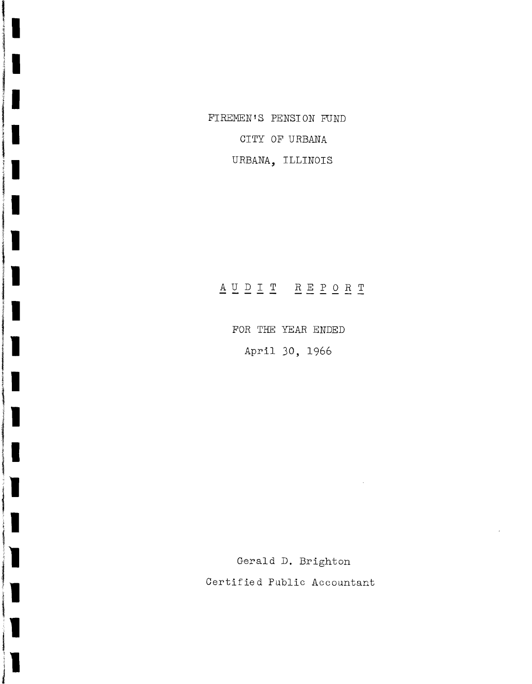FIREMEN'S PENSION FUND CITY OF URBANA URBANA, ILLINOIS

# $\underline{A} \underline{U} \underline{D} \underline{T} \underline{T} \underline{T} \underline{R} \underline{E} \underline{P} \underline{O} \underline{R} \underline{T}$

FOR THE YEAR ENDED April 30, 1966

I

I

Gerald D. Brighton Certified Public Accountant

 $\sim$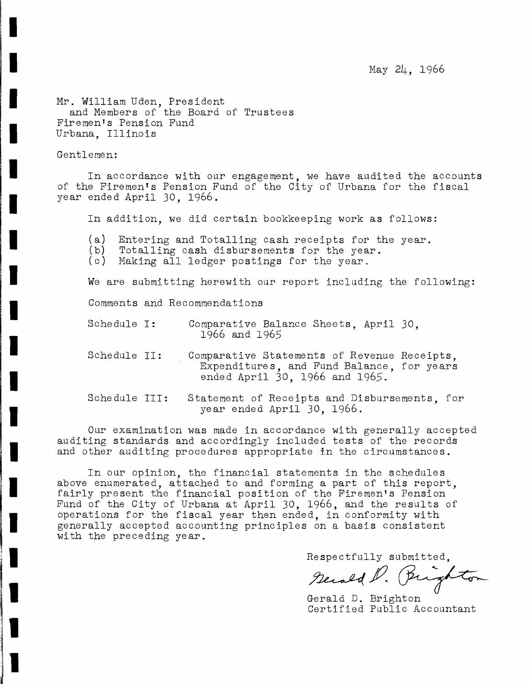May 24, 1966

Mr. William Uden, President and Members of the Board of Trustees Firemen's Pension Fund Urbana, Illinois

### Gentlemen:

I

I

I

I

**'I**

I

I

I

I

I

I

I

I

I

I

**;1**

**II**

'

12 Samuel 2006<br>1 **II**

the company of

In accordance with our engagement, we have audited the accounts of the Firemen's Pension Fund of the City of Urbana for the fiscal year ended April 30, 1966.

In addition, we did certain bookkeeping work as follows:

- (a) Entering and Totalling cash receipts for the year.<br>(b) Totalling cash disbursements for the year.
- (b) Totalling cash disbursements for the year.<br>(c) Making all ledger postings for the year.
- Making all ledger postings for the year.

We are submitting herewith our report including the following:

Comments and Recommendations

- Comparative Balance Sheets, April 30, 1966 and 1965 Schedule I:
- Comparative Statements of Revenue Receipts, Expenditures, and Fund Balance, for years ended April 30, 1966 and 1965. Schedule **II:**
- Statement of Receipts and Disbursements, for year ended April 30, 1966. Sche dule III:

Our examination was made in accordance with generally accepted auditing standards and accordingly included tests of the records and other auditing procedures appropriate in the circumstances.

In our opinion, the financial statements in the schedules above enumerated, attached to and forming <sup>a</sup> part of this report, fairly present the financial position of the Firemen's Pension Fund of the City of Urbana at April 30, 1966, and the results of operations for the fiscal year then ended, in conformity with generally accepted accounting principles on a basis consistent with the preceding year.

Respectfully submitted.

Secold D. Brighton

Gerald D. Brighton Certified Public Accountant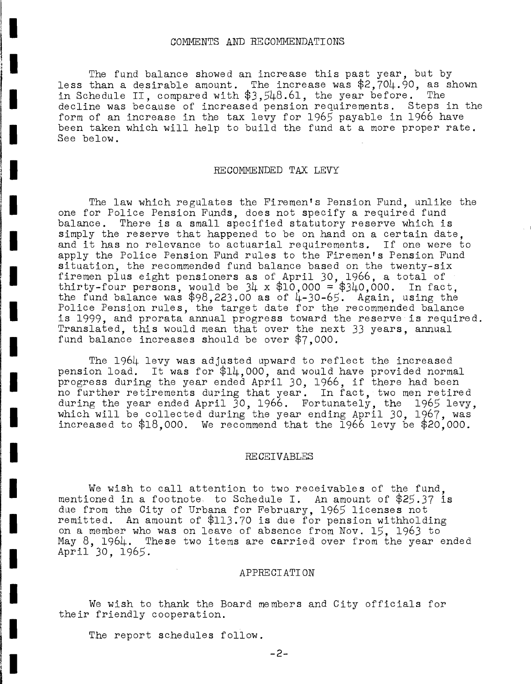#### COMMENTS AND RECOMMENDATIONS

**I.**<br>I. Andrewski († 1871)<br>18. marec – Pierre Barnett, francuski fizik († 1871)

**I.**

I

I

**;1**

**'.**

I

I

**'I**

I

I

I

I

I

I

I

**'I** ing the control of the control of the control of the control of the control of the control of the control of the control of the control of the control of the control of the control of the control of the control of the cont **il**

**I.**

i<br>I

The fund balance showed an increase this past year, but by less than a desirable amount. The increase was \$2,704.90, as shown in Schedule II, compared with \$3,548.61, the year before. The decline was because of increased pension requirements. Steps in the form of an increase in the tax levy for 1965 payable in 1966 have been taken which will help to build the fund at a more proper rate. See below.

## RECOMMENDED TAX LEVY

The law which regulates the Firemen's Pension Fund, unlike the one for Police Pension Funds, does not specify a required fund<br>balance. There is a small specified statutory reserve which is There is a small specified statutory reserve which is simply the reserve that happened to be on hand on a certain date. and it has no relevance to actuarial requirements. If one were to apply the Police Pension Fund rules to the Firemen's Pension Fund situation, the recommended fund balance based on the twenty-six firemen plus eight pensioners as of April 30, 1966, a total of thirty-four persons, would be 34 <sup>x</sup> \$10,000 = \$340,000. In fact, the fund balance was  $$98,223.00$  as of 4-30-65. Again, using the Police Pension rules, the target date for the recommended balance is 1999, and prorata annual progress toward the reserve is required. Translated, this would mean that over the next 33 years, annual fund balance increases should be over \$7,000.

The 1964 levy was adjusted upward to reflect the increased pension load. It was for \$14,000, and would have provided normal progress during the year ended April 30, 1966, if there had been no further retirements during that year. In fact, two men retired during the year ended April  $30, 1966$ . Fortunately, the 1965 levy, which will be collected during the year ending April 30, 1967, was increased to \$18,000. We recommend that the 1966 levy be \$20,000.

#### RECEIVABLES

We wish to call attention to two receivables of the fund, mentioned in <sup>a</sup> footnote, to Schedule I. An amount of \$25.37 is due from the City of Urbana for February, 1965 licenses not remitted. An amount of \$113.70 is due for pension withholding on a member who was on leave of absence from Nov. 15, 1963 to May 8, 1964. These two items are carried over from the year ended April 30, 1965.

#### APPRECIATION

We wish to thank the Board members and City officials for their friendly cooperation.

The report schedules follow.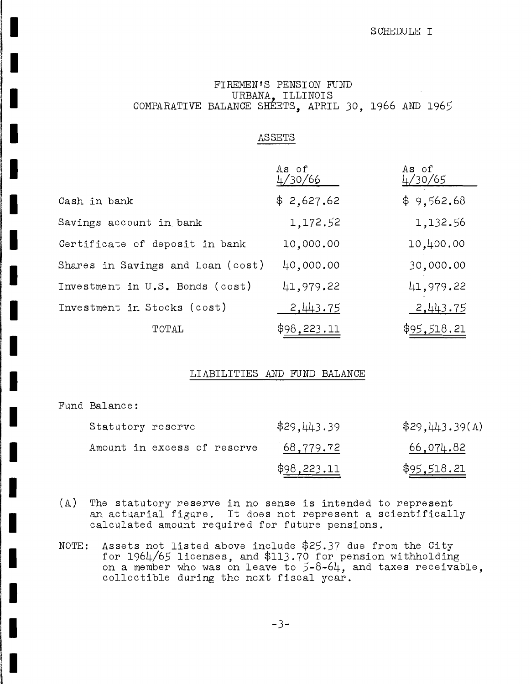## SCHEDULE I

## FIREMEN'S PENSION FUND URBANA, ILLINOIS COMPARATIVE BALANCE SHEETS, APRIL 30, 1966 AND 1965

## ASSETS

|                                   | As of<br>4/30/66 | As of<br>4/30/65 |
|-----------------------------------|------------------|------------------|
| Cash in bank                      | \$2,627.62       | \$9,562.68       |
| Savings account in bank           | 1,172.52         | 1,132.56         |
| Certificate of deposit in bank    | 10,000.00        | 10,400.00        |
| Shares in Savings and Loan (cost) | 40,000.00        | 30,000.00        |
| Investment in U.S. Bonds (cost)   | 41,979.22        | 41,979.22        |
| Investment in Stocks (cost)       | 2,443.75         | 2,443.75         |
| TOTAL                             | \$98, 223.11     | \$95,518.21      |

### LIABILITIES AND FUND BALANCE

Fund Balance:

**II**

**III**<br>III<br>III

I

I

I

I

I

I

I

I

I

I

I

I

I

I

**III**<br>III<br>III 1111

 $^{\circ}$ 

**International Control** 

| Statutory reserve           | \$29,443.39 | \$29,443.39(A)      |
|-----------------------------|-------------|---------------------|
| Amount in excess of reserve | 68,779.72   | 66,074.82           |
|                             | \$98,223.11 | \$ <u>95,518.21</u> |

- (A) The statutory reserve in no sense is intended to represent an actuarial figure. It does not represent <sup>a</sup> scientifically calculated amount required for future pensions.
- NOTE: Assets not listed above include \$25.37 due from the City for 1964/65 licenses, and \$113.70 for pension withholding on a member who was on leave to 5-8-64, and taxes receivable, collectible during the next fiscal year.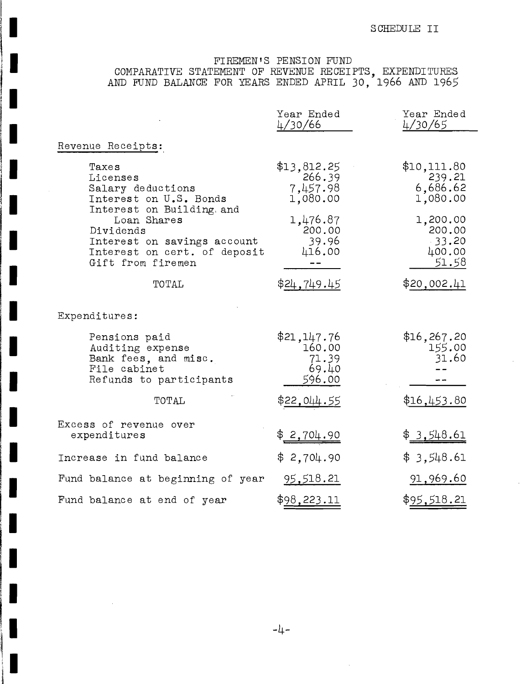# FIREMEN'S PENSION FUND COMPARATIVE STATEMENT OF REVENUE RECEIPTS, EXPENDITURES AND FUND BALANCE FOR YEARS ENDED APRIL 30, 1966 AND 1965

I

**II**

**III**<br>III<br>III

**II**

**I**<br>III<br>III <u>III II</u>

**III**<br>III<br>IIII III

 $\bar{\alpha}$ 

**11**

**III**<br>III<br>III

**II**

I

I

**II**

**II**

**III**<br>III<br>III

**II**

**II**

**i**<br>**i**<br>**i**<br>**i** 

**I**<br>III<br>III *II* II *II* II

**III**<br>III<br>III

**I**  $\frac{3}{2}$ 

|                                                                                                                                                                                                               | Year Ended<br>4/30/66                             | Year Ended<br>4/30/65                             |
|---------------------------------------------------------------------------------------------------------------------------------------------------------------------------------------------------------------|---------------------------------------------------|---------------------------------------------------|
| Revenue Receipts:                                                                                                                                                                                             |                                                   |                                                   |
| Taxes<br>Licenses<br>Salary deductions<br>Interest on U.S. Bonds<br>Interest on Building. and<br>Loan Shares<br>Dividends<br>Interest on savings account<br>Interest on cert. of deposit<br>Gift from firemen | \$13,812.25<br>266.39<br>7,457.98<br>1,080.00     | \$10,111.80<br>239.21<br>6,686.62<br>1,080.00     |
|                                                                                                                                                                                                               | 1,476.87<br>200.00<br>39.96<br>416.00             | 1,200.00<br>200.00<br>$-33.20$<br>400.00<br>51.58 |
| TOTAL                                                                                                                                                                                                         | \$24,749.45                                       | \$20,002.41                                       |
| Expenditures:                                                                                                                                                                                                 |                                                   |                                                   |
| Pensions paid<br>Auditing expense<br>Bank fees, and misc.<br>File cabinet<br>Refunds to participants                                                                                                          | \$21,147.76<br>160.00<br>71.39<br>69.40<br>596.00 | \$16,267.20<br>155.00<br>31.60                    |
| TOTAL                                                                                                                                                                                                         | \$ <u>22,044.55</u>                               | \$16,453.80                                       |
| Excess of revenue over<br>expenditures                                                                                                                                                                        | \$2,704.90                                        | \$3,548.61                                        |
| Increase in fund balance                                                                                                                                                                                      | \$2,704.90                                        | \$3,548.61                                        |
| Fund balance at beginning of year                                                                                                                                                                             | 95,518.21                                         | 91,969.60                                         |
| Fund balance at end of year                                                                                                                                                                                   | \$98,223.11                                       | \$95,518.21                                       |

**-4-**

 $\mathcal{A}$